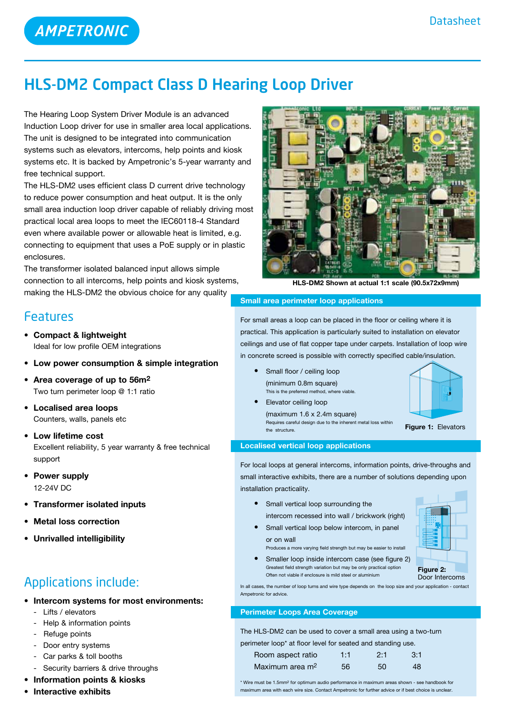# HLS-DM2 Compact Class D Hearing Loop Driver

The Hearing Loop System Driver Module is an advanced Induction Loop driver for use in smaller area local applications. The unit is designed to be integrated into communication systems such as elevators, intercoms, help points and kiosk systems etc. It is backed by Ampetronic's 5-year warranty and free technical support.

The HLS-DM2 uses efficient class D current drive technology to reduce power consumption and heat output. It is the only small area induction loop driver capable of reliably driving most practical local area loops to meet the IEC60118-4 Standard even where available power or allowable heat is limited, e.g. connecting to equipment that uses a PoE supply or in plastic enclosures.

The transformer isolated balanced input allows simple connection to all intercoms, help points and kiosk systems, making the HLS-DM2 the obvious choice for any quality

# Features

- **• Compact & lightweight** Ideal for low profile OEM integrations
- **• Low power consumption & simple integration**
- **• Area coverage of up to 56m2** Two turn perimeter loop @ 1:1 ratio
- **• Localised area loops** Counters, walls, panels etc
- **Low lifetime cost** Excellent reliability, 5 year warranty & free technical support
- **• Power supply** 12-24V DC
- **• Transformer isolated inputs**
- **Metal loss correction**
- **• Unrivalled intelligibility**

# Applications include:

- **• Intercom systems for most environments:**
	- Lifts / elevators
	- Help & information points
	- Refuge points
	- Door entry systems
	- Car parks & toll booths
	- Security barriers & drive throughs
- **• Information points & kiosks**
- **• Interactive exhibits**



**HLS-DM2 Shown at actual 1:1 scale (90.5x72x9mm)**

### **Small area perimeter loop applications**

For small areas a loop can be placed in the floor or ceiling where it is practical. This application is particularly suited to installation on elevator ceilings and use of flat copper tape under carpets. Installation of loop wire in concrete screed is possible with correctly specified cable/insulation.

- **Small floor / ceiling loop**  (minimum 0.8m square) This is the preferred method, where viable.
- **•**  Elevator ceiling loop  $(maximum 1.6 x 2.4m square)$  Requires careful design due to the inherent metal loss within the structure.



**Figure 1:** Elevators

## **Localised vertical loop applications**

For local loops at general intercoms, information points, drive-throughs and small interactive exhibits, there are a number of solutions depending upon installation practicality.

- **•**  Small vertical loop surrounding the intercom recessed into wall / brickwork (right)
- **•** Small vertical loop below intercom, in panel or on wall

Often not viable if enclosure is mild steel or aluminium

Produces a more varying field strength but may be easier to install • Smaller loop inside intercom case (see figure 2) Greatest field strength variation but may be only practical option



**Figure 2:** Door Intercoms

In all cases, the number of loop turns and wire type depends on the loop size and your application - contact Ampetronic for advice.

## **Perimeter Loops Area Coverage**

The HLS-DM2 can be used to cover a small area using a two-turn perimeter loop\* at floor level for seated and standing use.

| of the country and the country of the country of the country and the country and the country of the country of |     |     |     |
|----------------------------------------------------------------------------------------------------------------|-----|-----|-----|
| Room aspect ratio                                                                                              | 1:1 | 2:1 | 3:1 |
| Maximum area m <sup>2</sup>                                                                                    | 56. | 50  | 48  |

\* Wire must be 1.5mm2 for optimum audio performance in maximum areas shown - see handbook for maximum area with each wire size. Contact Ampetronic for further advice or if best choice is unclear.